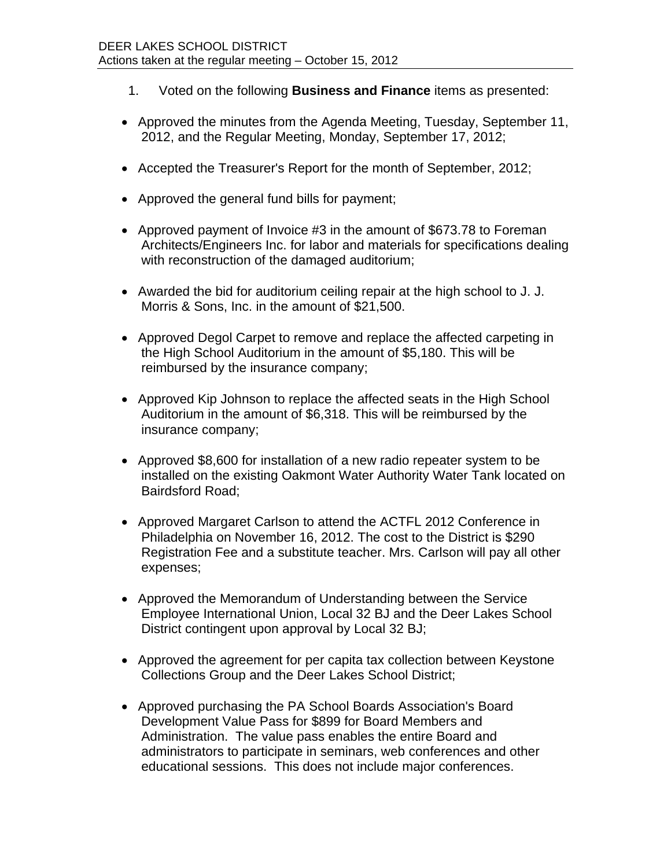- 1. Voted on the following **Business and Finance** items as presented:
- Approved the minutes from the Agenda Meeting, Tuesday, September 11, 2012, and the Regular Meeting, Monday, September 17, 2012;
- Accepted the Treasurer's Report for the month of September, 2012;
- Approved the general fund bills for payment;
- Approved payment of Invoice #3 in the amount of \$673.78 to Foreman Architects/Engineers Inc. for labor and materials for specifications dealing with reconstruction of the damaged auditorium;
- Awarded the bid for auditorium ceiling repair at the high school to J. J. Morris & Sons, Inc. in the amount of \$21,500.
- Approved Degol Carpet to remove and replace the affected carpeting in the High School Auditorium in the amount of \$5,180. This will be reimbursed by the insurance company;
- Approved Kip Johnson to replace the affected seats in the High School Auditorium in the amount of \$6,318. This will be reimbursed by the insurance company;
- Approved \$8,600 for installation of a new radio repeater system to be installed on the existing Oakmont Water Authority Water Tank located on Bairdsford Road;
- Approved Margaret Carlson to attend the ACTFL 2012 Conference in Philadelphia on November 16, 2012. The cost to the District is \$290 Registration Fee and a substitute teacher. Mrs. Carlson will pay all other expenses;
- Approved the Memorandum of Understanding between the Service Employee International Union, Local 32 BJ and the Deer Lakes School District contingent upon approval by Local 32 BJ;
- Approved the agreement for per capita tax collection between Keystone Collections Group and the Deer Lakes School District;
- Approved purchasing the PA School Boards Association's Board Development Value Pass for \$899 for Board Members and Administration. The value pass enables the entire Board and administrators to participate in seminars, web conferences and other educational sessions. This does not include major conferences.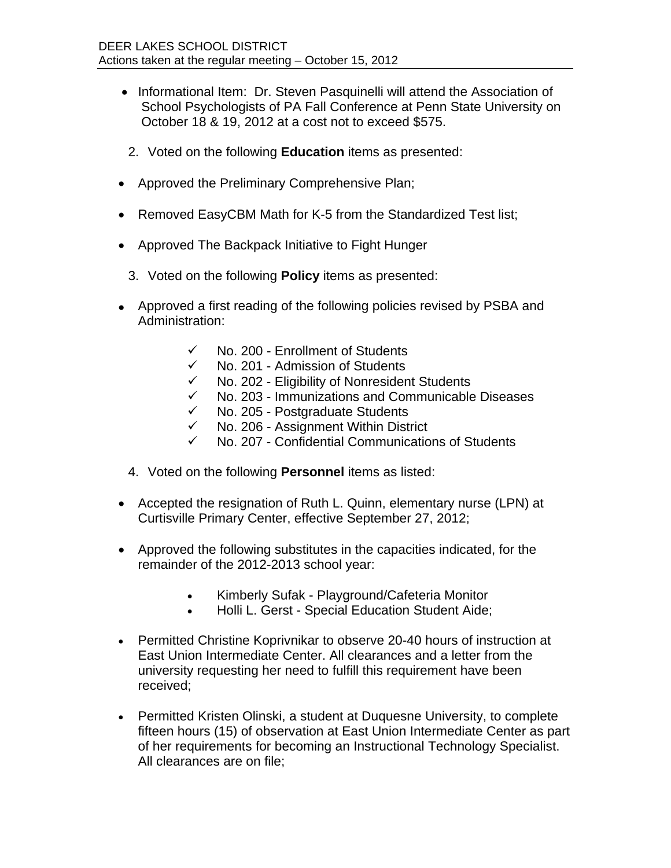- Informational Item: Dr. Steven Pasquinelli will attend the Association of School Psychologists of PA Fall Conference at Penn State University on October 18 & 19, 2012 at a cost not to exceed \$575.
- 2. Voted on the following **Education** items as presented:
- Approved the Preliminary Comprehensive Plan;
- Removed EasyCBM Math for K-5 from the Standardized Test list;
- Approved The Backpack Initiative to Fight Hunger
	- 3. Voted on the following **Policy** items as presented:
- Approved a first reading of the following policies revised by PSBA and Administration:
	- $\checkmark$  No. 200 Enrollment of Students
	- $\checkmark$  No. 201 Admission of Students
	- $\checkmark$  No. 202 Eligibility of Nonresident Students
	- $\checkmark$  No. 203 Immunizations and Communicable Diseases<br> $\checkmark$  No. 205 Postgraduate Students
	- No. 205 Postgraduate Students
	- $\checkmark$  No. 206 Assignment Within District
	- $\checkmark$  No. 207 Confidential Communications of Students
	- 4. Voted on the following **Personnel** items as listed:
- Accepted the resignation of Ruth L. Quinn, elementary nurse (LPN) at Curtisville Primary Center, effective September 27, 2012;
- Approved the following substitutes in the capacities indicated, for the remainder of the 2012-2013 school year:
	- Kimberly Sufak Playground/Cafeteria Monitor
	- Holli L. Gerst Special Education Student Aide;
- Permitted Christine Koprivnikar to observe 20-40 hours of instruction at East Union Intermediate Center. All clearances and a letter from the university requesting her need to fulfill this requirement have been received;
- Permitted Kristen Olinski, a student at Duquesne University, to complete fifteen hours (15) of observation at East Union Intermediate Center as part of her requirements for becoming an Instructional Technology Specialist. All clearances are on file;